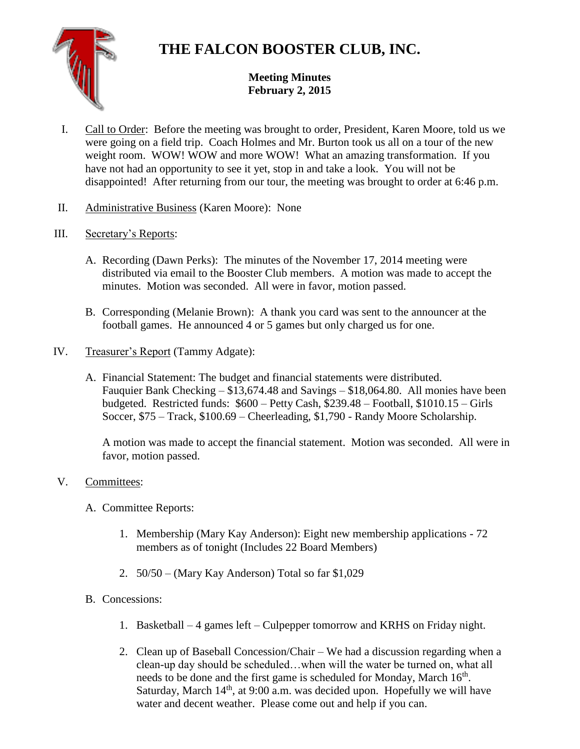## **THE FALCON BOOSTER CLUB, INC.**

## **Meeting Minutes February 2, 2015**

- I. Call to Order: Before the meeting was brought to order, President, Karen Moore, told us we were going on a field trip. Coach Holmes and Mr. Burton took us all on a tour of the new weight room. WOW! WOW and more WOW! What an amazing transformation. If you have not had an opportunity to see it yet, stop in and take a look. You will not be disappointed! After returning from our tour, the meeting was brought to order at 6:46 p.m.
- II. Administrative Business (Karen Moore): None
- III. Secretary's Reports:
	- A. Recording (Dawn Perks): The minutes of the November 17, 2014 meeting were distributed via email to the Booster Club members. A motion was made to accept the minutes. Motion was seconded. All were in favor, motion passed.
	- B. Corresponding (Melanie Brown): A thank you card was sent to the announcer at the football games. He announced 4 or 5 games but only charged us for one.
- IV. Treasurer's Report (Tammy Adgate):
	- A. Financial Statement: The budget and financial statements were distributed. Fauquier Bank Checking – \$13,674.48 and Savings – \$18,064.80. All monies have been budgeted. Restricted funds: \$600 – Petty Cash, \$239.48 – Football, \$1010.15 – Girls Soccer, \$75 – Track, \$100.69 – Cheerleading, \$1,790 - Randy Moore Scholarship.

A motion was made to accept the financial statement. Motion was seconded. All were in favor, motion passed.

- V. Committees:
	- A. Committee Reports:
		- 1. Membership (Mary Kay Anderson): Eight new membership applications 72 members as of tonight (Includes 22 Board Members)
		- 2. 50/50 (Mary Kay Anderson) Total so far \$1,029
	- B. Concessions:
		- 1. Basketball 4 games left Culpepper tomorrow and KRHS on Friday night.
		- 2. Clean up of Baseball Concession/Chair We had a discussion regarding when a clean-up day should be scheduled…when will the water be turned on, what all needs to be done and the first game is scheduled for Monday, March 16<sup>th</sup>. Saturday, March  $14<sup>th</sup>$ , at 9:00 a.m. was decided upon. Hopefully we will have water and decent weather. Please come out and help if you can.